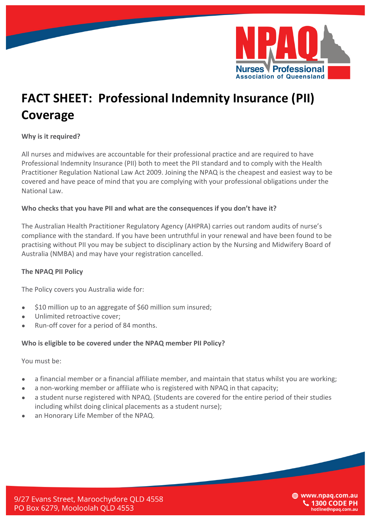

# **FACT SHEET: Professional Indemnity Insurance (PII) Coverage**

## **Why is it required?**

All nurses and midwives are accountable for their professional practice and are required to have Professional Indemnity Insurance (PII) both to meet the PII standard and to comply with the Health Practitioner Regulation National Law Act 2009. Joining the NPAQ is the cheapest and easiest way to be covered and have peace of mind that you are complying with your professional obligations under the National Law.

## Who checks that you have PII and what are the consequences if you don't have it?

The Australian Health Practitioner Regulatory Agency (AHPRA) carries out random audits of nurse's compliance with the standard. If you have been untruthful in your renewal and have been found to be practising without PII you may be subject to disciplinary action by the Nursing and Midwifery Board of Australia (NMBA) and may have your registration cancelled.

### **The NPAQ PII Policy**

The Policy covers you Australia wide for:

- \$10 million up to an aggregate of \$60 million sum insured;
- Unlimited retroactive cover;
- Run-off cover for a period of 84 months.

## Who is eligible to be covered under the NPAQ member PII Policy?

You must be:

- a financial member or a financial affiliate member, and maintain that status whilst you are working;
- a non-working member or affiliate who is registered with NPAQ in that capacity;
- a student nurse registered with NPAQ. (Students are covered for the entire period of their studies including whilst doing clinical placements as a student nurse);
- an Honorary Life Member of the NPAQ.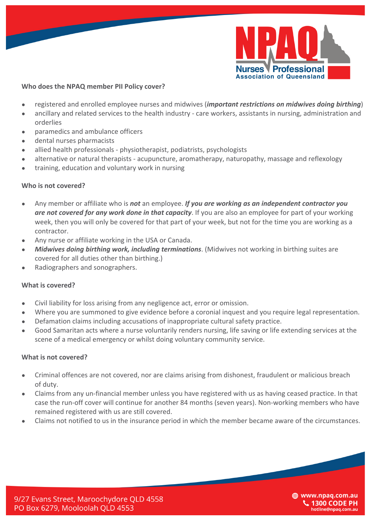

## **Who does the NPAQ member PII Policy cover?**

- registered and enrolled employee nurses and midwives (*important restrictions on midwives doing birthing*)
- ancillary and related services to the health industry care workers, assistants in nursing, administration and orderlies
- paramedics and ambulance officers
- dental nurses pharmacists
- allied health professionals physiotherapist, podiatrists, psychologists
- alternative or natural therapists acupuncture, aromatherapy, naturopathy, massage and reflexology
- training, education and voluntary work in nursing

### **Who is not covered?**

- Any member or affiliate who is **not** an employee. **If you are working as an independent contractor you** are not covered for any work done in that capacity. If you are also an employee for part of your working week, then you will only be covered for that part of your week, but not for the time you are working as a contractor.
- Any nurse or affiliate working in the USA or Canada.
- *Midwives doing birthing work, including terminations.* (Midwives not working in birthing suites are covered for all duties other than birthing.)
- Radiographers and sonographers.

### **What is covered?**

- Civil liability for loss arising from any negligence act, error or omission.
- Where you are summoned to give evidence before a coronial inquest and you require legal representation.
- Defamation claims including accusations of inappropriate cultural safety practice.
- Good Samaritan acts where a nurse voluntarily renders nursing, life saving or life extending services at the scene of a medical emergency or whilst doing voluntary community service.

### **What is not covered?**

- Criminal offences are not covered, nor are claims arising from dishonest, fraudulent or malicious breach of duty.
- Claims from any un-financial member unless you have registered with us as having ceased practice. In that case the run-off cover will continue for another 84 months (seven years). Non-working members who have remained registered with us are still covered.
- Claims not notified to us in the insurance period in which the member became aware of the circumstances.